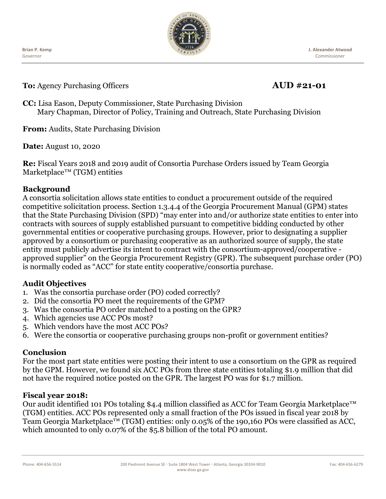Ĭ **Brian P. Kemp** Governor



**J. Alexander Atwood** Commissioner

**To:** Agency Purchasing Officers **AUD #21-01** 

**CC:** Lisa Eason, Deputy Commissioner, State Purchasing Division Mary Chapman, Director of Policy, Training and Outreach, State Purchasing Division

**From:** Audits, State Purchasing Division

**Date:** August 10, 2020

**Re:** Fiscal Years 2018 and 2019 audit of Consortia Purchase Orders issued by Team Georgia Marketplace™ (TGM) entities

# **Background**

A consortia solicitation allows state entities to conduct a procurement outside of the required competitive solicitation process. Section 1.3.4.4 of the Georgia Procurement Manual (GPM) states that the State Purchasing Division (SPD) "may enter into and/or authorize state entities to enter into contracts with sources of supply established pursuant to competitive bidding conducted by other governmental entities or cooperative purchasing groups. However, prior to designating a supplier approved by a consortium or purchasing cooperative as an authorized source of supply, the state entity must publicly advertise its intent to contract with the consortium-approved/cooperative approved supplier" on the Georgia Procurement Registry (GPR). The subsequent purchase order (PO) is normally coded as "ACC" for state entity cooperative/consortia purchase.

# **Audit Objectives**

- 1. Was the consortia purchase order (PO) coded correctly?
- 2. Did the consortia PO meet the requirements of the GPM?
- 3. Was the consortia PO order matched to a posting on the GPR?
- 4. Which agencies use ACC POs most?
- 5. Which vendors have the most ACC POs?
- 6. Were the consortia or cooperative purchasing groups non-profit or government entities?

# **Conclusion**

For the most part state entities were posting their intent to use a consortium on the GPR as required by the GPM. However, we found six ACC POs from three state entities totaling \$1.9 million that did not have the required notice posted on the GPR. The largest PO was for \$1.7 million.

#### **Fiscal year 2018:**

Our audit identified 101 POs totaling \$4.4 million classified as ACC for Team Georgia Marketplace™ (TGM) entities. ACC POs represented only a small fraction of the POs issued in fiscal year 2018 by Team Georgia Marketplace<sup>™</sup> (TGM) entities: only 0.05% of the 190,160 POs were classified as ACC, which amounted to only 0.07% of the \$5.8 billion of the total PO amount.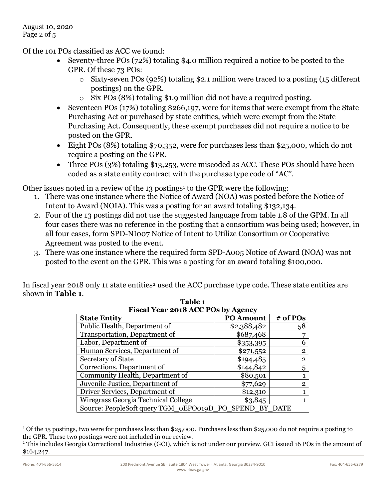Of the 101 POs classified as ACC we found:

- Seventy-three POs (72%) totaling \$4.0 million required a notice to be posted to the GPR. Of these 73 POs:
	- o Sixty-seven POs (92%) totaling \$2.1 million were traced to a posting (15 different postings) on the GPR.
	- o Six POs (8%) totaling \$1.9 million did not have a required posting.
- Seventeen POs (17%) totaling \$266,197, were for items that were exempt from the State Purchasing Act or purchased by state entities, which were exempt from the State Purchasing Act. Consequently, these exempt purchases did not require a notice to be posted on the GPR.
- Eight POs (8%) totaling \$70,352, were for purchases less than \$25,000, which do not require a posting on the GPR.
- Three POs (3%) totaling \$13,253, were miscoded as ACC. These POs should have been coded as a state entity contract with the purchase type code of "AC".

Other issues noted in a review of the 13 postings<sup>1</sup> to the GPR were the following:

- 1. There was one instance where the Notice of Award (NOA) was posted before the Notice of Intent to Award (NOIA). This was a posting for an award totaling \$132,134.
- 2. Four of the 13 postings did not use the suggested language from table 1.8 of the GPM. In all four cases there was no reference in the posting that a consortium was being used; however, in all four cases, form SPD-NI007 Notice of Intent to Utilize Consortium or Cooperative Agreement was posted to the event.
- 3. There was one instance where the required form SPD-A005 Notice of Award (NOA) was not posted to the event on the GPR. This was a posting for an award totaling \$100,000.

In fiscal year 2018 only 11 state entities<sup>2</sup> used the ACC purchase type code. These state entities are shown in **Table 1**.

| Fiscal Year 2018 ACC POs by Agency                 |                  |          |  |
|----------------------------------------------------|------------------|----------|--|
| <b>State Entity</b>                                | <b>PO Amount</b> | # of POs |  |
| Public Health, Department of                       | \$2,388,482      | 58       |  |
| Transportation, Department of                      | \$687,468        |          |  |
| Labor, Department of                               | \$353,395        |          |  |
| Human Services, Department of                      | \$271,552        | 2        |  |
| Secretary of State                                 | \$194,485        | 2        |  |
| Corrections, Department of                         | \$144,842        | 5        |  |
| Community Health, Department of                    | \$80,501         |          |  |
| Juvenile Justice, Department of                    | \$77,629         | 2        |  |
| Driver Services, Department of                     | \$12,310         |          |  |
| Wiregrass Georgia Technical College                | \$3,845          |          |  |
| Source: PeopleSoft query TGM_0EPO019D_PO_SPEND_BY_ |                  |          |  |

**Table 1**

<sup>1</sup> Of the 15 postings, two were for purchases less than \$25,000. Purchases less than \$25,000 do not require a posting to the GPR. These two postings were not included in our review.

<sup>&</sup>lt;sup>2</sup> This includes Georgia Correctional Industries (GCI), which is not under our purview. GCI issued 16 POs in the amount of \$164,247.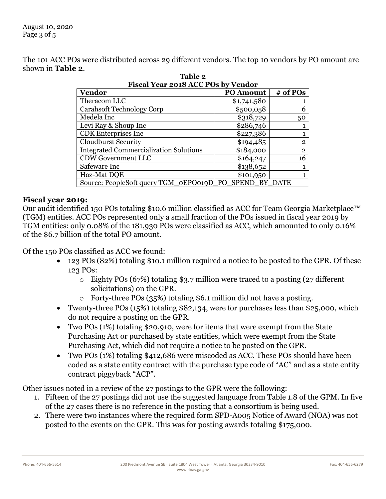The 101 ACC POs were distributed across 29 different vendors. The top 10 vendors by PO amount are shown in **Table 2**.

| Fiscal Year 2018 ACC POs by Vendor                     |                  |                |  |
|--------------------------------------------------------|------------------|----------------|--|
| <b>Vendor</b>                                          | <b>PO Amount</b> | $#$ of POs     |  |
| Theracom LLC                                           | \$1,741,580      |                |  |
| Carahsoft Technology Corp                              | \$500,058        | 6              |  |
| Medela Inc                                             | \$318,729        | 50             |  |
| Levi Ray & Shoup Inc                                   | \$286,746        |                |  |
| <b>CDK</b> Enterprises Inc                             | \$227,386        |                |  |
| <b>Cloudburst Security</b>                             | \$194,485        | $\overline{2}$ |  |
| <b>Integrated Commercialization Solutions</b>          | \$184,000        | $\overline{2}$ |  |
| <b>CDW Government LLC</b>                              | \$164,247        | 16             |  |
| Safeware Inc                                           | \$138,652        | 1              |  |
| Haz-Mat DQE                                            | \$101,950        | 1              |  |
| Source: PeopleSoft query TGM_0EPO019D_PO_SPEND_BY_DATE |                  |                |  |

| Table 2                            |  |
|------------------------------------|--|
| iscal Year 2018 ACC POs by Vendor' |  |
|                                    |  |

#### **Fiscal year 2019:**

Our audit identified 150 POs totaling \$10.6 million classified as ACC for Team Georgia Marketplace™ (TGM) entities. ACC POs represented only a small fraction of the POs issued in fiscal year 2019 by TGM entities: only 0.08% of the 181,930 POs were classified as ACC, which amounted to only 0.16% of the \$6.7 billion of the total PO amount.

Of the 150 POs classified as ACC we found:

- 123 POs (82%) totaling \$10.1 million required a notice to be posted to the GPR. Of these 123 POs:
	- $\circ$  Eighty POs (67%) totaling \$3.7 million were traced to a posting (27 different solicitations) on the GPR.
	- o Forty-three POs (35%) totaling \$6.1 million did not have a posting.
- Twenty-three POs (15%) totaling \$82,134, were for purchases less than \$25,000, which do not require a posting on the GPR.
- Two POs (1%) totaling \$20,910, were for items that were exempt from the State Purchasing Act or purchased by state entities, which were exempt from the State Purchasing Act, which did not require a notice to be posted on the GPR.
- Two POs (1%) totaling \$412,686 were miscoded as ACC. These POs should have been coded as a state entity contract with the purchase type code of "AC" and as a state entity contract piggyback "ACP".

Other issues noted in a review of the 27 postings to the GPR were the following:

- 1. Fifteen of the 27 postings did not use the suggested language from Table 1.8 of the GPM. In five of the 27 cases there is no reference in the posting that a consortium is being used.
- 2. There were two instances where the required form SPD-A005 Notice of Award (NOA) was not posted to the events on the GPR. This was for posting awards totaling \$175,000.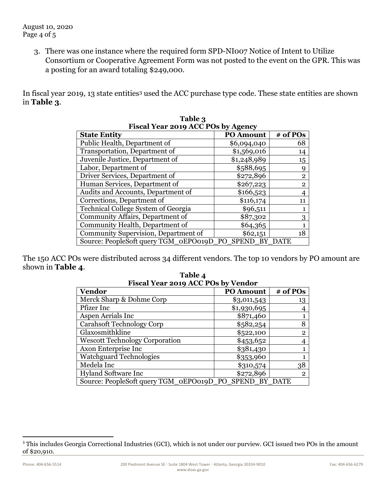3. There was one instance where the required form SPD-NI007 Notice of Intent to Utilize Consortium or Cooperative Agreement Form was not posted to the event on the GPR. This was a posting for an award totaling \$249,000.

In fiscal year 2019, 13 state entities<sup>3</sup> used the ACC purchase type code. These state entities are shown in **Table 3**.

| Fiscal Year 2019 ACC POs by Agency                |                  |                |  |
|---------------------------------------------------|------------------|----------------|--|
| <b>State Entity</b>                               | <b>PO Amount</b> | # of POs       |  |
| Public Health, Department of                      | \$6,094,040      | 68             |  |
| Transportation, Department of                     | \$1,569,016      | 14             |  |
| Juvenile Justice, Department of                   | \$1,248,989      | 15             |  |
| Labor, Department of                              | \$588,695        | Q              |  |
| Driver Services, Department of                    | \$272,896        | $\overline{2}$ |  |
| Human Services, Department of                     | \$267,223        | $\overline{2}$ |  |
| Audits and Accounts, Department of                | \$166,523        |                |  |
| Corrections, Department of                        | \$116,174        | 11             |  |
| Technical College System of Georgia               | \$96,511         |                |  |
| Community Affairs, Department of                  | \$87,302         | 3              |  |
| Community Health, Department of                   | \$64,365         |                |  |
| Community Supervision, Department of              | \$62,151         | 18             |  |
| Source: PeopleSoft query TGM_0EPO019D_PO_SPEND_BY |                  |                |  |

| Table 3                            |  |
|------------------------------------|--|
| Fiscal Year 2019 ACC POs by Agency |  |

The 150 ACC POs were distributed across 34 different vendors. The top 10 vendors by PO amount are shown in **Table 4**.

| Fiscal Year 2019 ACC POs by Vendor                     |                  |                |  |
|--------------------------------------------------------|------------------|----------------|--|
| <b>Vendor</b>                                          | <b>PO Amount</b> | $#$ of POs     |  |
| Merck Sharp & Dohme Corp                               | \$3,011,543      | 13             |  |
| Pfizer Inc                                             | \$1,930,695      |                |  |
| Aspen Aerials Inc                                      | \$871,460        |                |  |
| <b>Carahsoft Technology Corp</b>                       | \$582,254        | 8              |  |
| Glaxosmithkline                                        | \$522,100        | $\mathbf{2}$   |  |
| <b>Wescott Technology Corporation</b>                  | \$453,652        |                |  |
| Axon Enterprise Inc                                    | \$381,430        |                |  |
| <b>Watchguard Technologies</b>                         | \$353,960        |                |  |
| Medela Inc                                             | \$310,574        | 38             |  |
| <b>Hyland Software Inc</b>                             | \$272,896        | $\overline{2}$ |  |
| Source: PeopleSoft query TGM_0EPO019D_PO_SPEND_BY_DATE |                  |                |  |

**Table 4 Fiscal Year 2019 ACC POs by Vendor**

<sup>&</sup>lt;sup>3</sup> This includes Georgia Correctional Industries (GCI), which is not under our purview. GCI issued two POs in the amount of \$20,910.